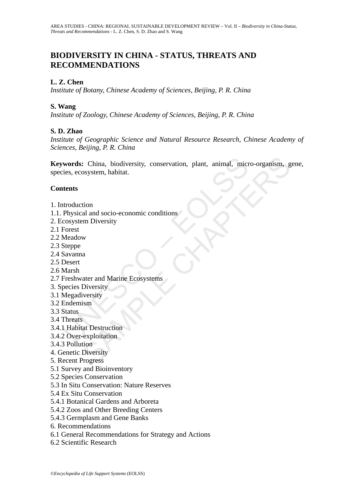# **BIODIVERSITY IN CHINA - STATUS, THREATS AND RECOMMENDATIONS**

### **L. Z. Chen**

*Institute of Botany, Chinese Academy of Sciences, Beijing, P. R. China* 

#### **S. Wang**

*Institute of Zoology, Chinese Academy of Sciences, Beijing, P. R. China*

### **S. D. Zhao**

*Institute of Geographic Science and Natural Resource Research, Chinese Academy of Sciences, Beijing, P. R. China* 

**twords:** China, biodiversity, conservation, plant, animal, microsites, ecosystem, habitat.<br> **ttents**<br>
ttents<br>
ttents<br>
ttents<br>
ttents<br>
ttents<br>
ttents<br>
Mexical and socio-economic conditions<br>
cosystem Diversity<br>
Forest<br>
Mead Exploration and sociology and the Ecosystem, habitat.<br>
Sosystem, habitat.<br>
Exploration<br>
and sociology economic conditions<br>
and Diversity<br>
w<br>
a<br>
a<br>
ater and Marine Ecosystems<br>
Diversity<br>
is processive exploitation<br>
.<br>
at De **Keywords:** China, biodiversity, conservation, plant, animal, micro-organism, gene, species, ecosystem, habitat.

#### **Contents**

- 1. Introduction
- 1.1. Physical and socio-economic conditions
- 2. Ecosystem Diversity
- 2.1 Forest
- 2.2 Meadow
- 2.3 Steppe
- 2.4 Savanna
- 2.5 Desert
- 2.6 Marsh
- 2.7 Freshwater and Marine Ecosystems
- 3. Species Diversity
- 3.1 Megadiversity
- 3.2 Endemism
- 3.3 Status
- 3.4 Threats
- 3.4.1 Habitat Destruction
- 3.4.2 Over-exploitation
- 3.4.3 Pollution
- 4. Genetic Diversity
- 5. Recent Progress
- 5.1 Survey and Bioinventory
- 5.2 Species Conservation
- 5.3 In Situ Conservation: Nature Reserves
- 5.4 Ex Situ Conservation
- 5.4.1 Botanical Gardens and Arboreta
- 5.4.2 Zoos and Other Breeding Centers
- 5.4.3 Germplasm and Gene Banks
- 6. Recommendations
- 6.1 General Recommendations for Strategy and Actions
- 6.2 Scientific Research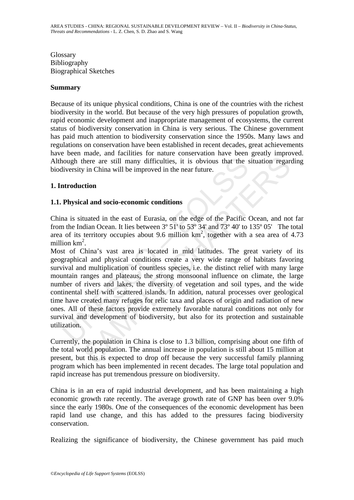Glossary Bibliography Biographical Sketches

#### **Summary**

Because of its unique physical conditions, China is one of the countries with the richest biodiversity in the world. But because of the very high pressures of population growth, rapid economic development and inappropriate management of ecosystems, the current status of biodiversity conservation in China is very serious. The Chinese government has paid much attention to biodiversity conservation since the 1950s. Many laws and regulations on conservation have been established in recent decades, great achievements have been made, and facilities for nature conservation have been greatly improved. Although there are still many difficulties, it is obvious that the situation regarding biodiversity in China will be improved in the near future.

#### **1. Introduction**

#### **1.1. Physical and socio-economic conditions**

China is situated in the east of Eurasia, on the edge of the Pacific Ocean, and not far from the Indian Ocean. It lies between  $3^{\circ} 51'$  to  $53^{\circ} 34'$  and  $73^{\circ} 40'$  to  $135^{\circ} 05'$ . The total area of its territory occupies about 9.6 million  $km^2$ , together with a sea area of 4.73 million  $km^2$ .

hough there are still many difficulties, it is obvious that the s<br>itversity in China will be improved in the near future.<br> **Arroduction**<br> **Physical and socio-economic conditions**<br> **Physical and socio-economic conditions**<br> there are still many difficulties, it is obvious that the situation regard with the situation and will be improved in the near future.<br> **Computer that will be improved in the near future.**<br> **Computer and socio-economic co** Most of China's vast area is located in mid latitudes. The great variety of its geographical and physical conditions create a very wide range of habitats favoring survival and multiplication of countless species, i.e. the distinct relief with many large mountain ranges and plateaus, the strong monsoonal influence on climate, the large number of rivers and lakes, the diversity of vegetation and soil types, and the wide continental shelf with scattered islands. In addition, natural processes over geological time have created many refuges for relic taxa and places of origin and radiation of new ones. All of these factors provide extremely favorable natural conditions not only for survival and development of biodiversity, but also for its protection and sustainable utilization.

Currently, the population in China is close to 1.3 billion, comprising about one fifth of the total world population. The annual increase in population is still about 15 million at present, but this is expected to drop off because the very successful family planning program which has been implemented in recent decades. The large total population and rapid increase has put tremendous pressure on biodiversity.

China is in an era of rapid industrial development, and has been maintaining a high economic growth rate recently. The average growth rate of GNP has been over 9.0% since the early 1980s. One of the consequences of the economic development has been rapid land use change, and this has added to the pressures facing biodiversity conservation.

Realizing the significance of biodiversity, the Chinese government has paid much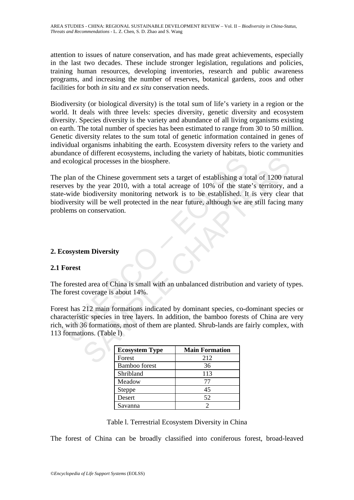attention to issues of nature conservation, and has made great achievements, especially in the last two decades. These include stronger legislation, regulations and policies, training human resources, developing inventories, research and public awareness programs, and increasing the number of reserves, botanical gardens, zoos and other facilities for both *in situ* and *ex situ* conservation needs.

Biodiversity (or biological diversity) is the total sum of life's variety in a region or the world. It deals with three levels: species diversity, genetic diversity and ecosystem diversity. Species diversity is the variety and abundance of all living organisms existing on earth. The total number of species has been estimated to range from 30 to 50 million. Genetic diversity relates to the sum total of genetic information contained in genes of individual organisms inhabiting the earth. Ecosystem diversity refers to the variety and abundance of different ecosystems, including the variety of habitats, biotic communities and ecological processes in the biosphere.

ecological processes in the biosphere.<br>
plan of the Chinese government sets a target of establishing a to<br>
rives by the year 2010, with a total acreage of 10% of the state-<br>
ab-wide biodiversity monitoring network is to be ical processes in the biosphere.<br>
f the Chinese government sets a target of establishing a total of 1200 nate<br>
y the year 2010, with a total acreage of 10% of the state's territory, and<br>
biodiversity monitoring network is The plan of the Chinese government sets a target of establishing a total of 1200 natural reserves by the year 2010, with a total acreage of 10% of the state's territory, and a state-wide biodiversity monitoring network is to be established. It is very clear that biodiversity will be well protected in the near future, although we are still facing many problems on conservation.

### **2. Ecosystem Diversity**

### **2.1 Forest**

The forested area of China is small with an unbalanced distribution and variety of types. The forest coverage is about 14%.

Forest has 212 main formations indicated by dominant species, co-dominant species or characteristic species in tree layers. In addition, the bamboo forests of China are very rich, with 36 formations, most of them are planted. Shrub-lands are fairly complex, with 113 formations. (Table l)

| <b>Ecosystem Type</b> | <b>Main Formation</b> |
|-----------------------|-----------------------|
| Forest                | 212                   |
| <b>Bamboo</b> forest  | 36                    |
| Shribland             | 113                   |
| Meadow                | 77                    |
| Steppe                | 45                    |
| Desert                | 52                    |
| Savanna               |                       |

Table l. Terrestrial Ecosystem Diversity in China

The forest of China can be broadly classified into coniferous forest, broad-leaved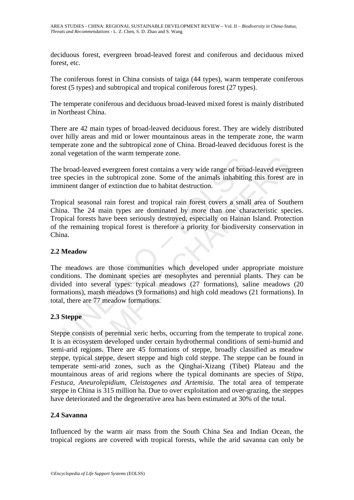deciduous forest, evergreen broad-leaved forest and coniferous and deciduous mixed forest, etc.

The coniferous forest in China consists of taiga (44 types), warm temperate coniferous forest (5 types) and subtropical and tropical coniferous forest (27 types).

The temperate coniferous and deciduous broad-leaved mixed forest is mainly distributed in Northeast China.

There are 42 main types of broad-leaved deciduous forest. They are widely distributed over hilly areas and mid or lower mountainous areas in the temperate zone, the warm temperate zone and the subtropical zone of China. Broad-leaved deciduous forest is the zonal vegetation of the warm temperate zone.

The broad-leaved evergreen forest contains a very wide range of broad-leaved evergreen tree species in the subtropical zone. Some of the animals inhabiting this forest are in imminent danger of extinction due to habitat destruction.

broad-leaved evergreen forest contains a very wide range of broas species in the subtropical zone. Some of the animals inhabiting inient danger of extinction due to habitat destruction.<br>
pical seasonal rain forest and trop leaved evergreen forest contains a very wide range of broad-leaved everge<br>s in the subtropical zone. Some of the animals inhabiting this forest at<br>anger of extinction due to habitat destruction.<br>assonal rain forest and tro Tropical seasonal rain forest and tropical rain forest covers a small area of Southern China. The 24 main types are dominated by more than one characteristic species. Tropical forests have been seriously destroyed, especially on Hainan Island. Protection of the remaining tropical forest is therefore a priority for biodiversity conservation in China.

#### **2.2 Meadow**

The meadows are those communities which developed under appropriate moisture conditions. The dominant species are mesophytes and perennial plants. They can be divided into several types: typical meadows (27 formations), saline meadows (20 formations), marsh meadows (9 formations) and high cold meadows (21 formations). In total, there are 77 meadow formations.

### **2.3 Steppe**

Steppe consists of perennial xeric herbs, occurring from the temperate to tropical zone. It is an ecosystem developed under certain hydrothermal conditions of semi-humid and semi-arid regions. There are 45 formations of steppe, broadly classified as meadow steppe, typical steppe, desert steppe and high cold steppe. The steppe can be found in temperate semi-arid zones, such as the Qinghai-Xizang (Tibet) Plateau and the mountainous areas of arid regions where the typical dominants are species of *Stipa, Festuca, Aneurolepidium, Cleistogenes and Artemisia*. The total area of temperate steppe in China is 315 million ha. Due to over exploitation and over-grazing, the steppes have deteriorated and the degenerative area has been estimated at 30% of the total.

### **2.4 Savanna**

Influenced by the warm air mass from the South China Sea and Indian Ocean, the tropical regions are covered with tropical forests, while the arid savanna can only be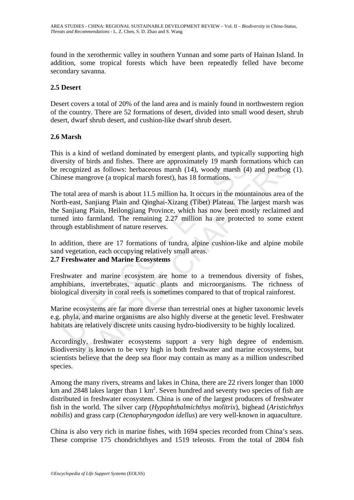found in the xerothermic valley in southern Yunnan and some parts of Hainan Island. In addition, some tropical forests which have been repeatedly felled have become secondary savanna.

### **2.5 Desert**

Desert covers a total of 20% of the land area and is mainly found in northwestern region of the country. There are 52 formations of desert, divided into small wood desert, shrub desert, dwarf shrub desert, and cushion-like dwarf shrub desert.

#### **2.6 Marsh**

This is a kind of wetland dominated by emergent plants, and typically supporting high diversity of birds and fishes. There are approximately 19 marsh formations which can be recognized as follows: herbaceous marsh (14), woody marsh (4) and peatbog (1). Chinese mangrove (a tropical marsh forest), has 18 formations.

rsity of birds and fishes. There are approximately 19 marsh for<br>ecognized as follows: herbaceous marsh (14), woody marsh (4<br>nese mangrove (a tropical marsh forest), has 18 formations.<br>total area of marsh is about 11.5 mill If birds and fishes. There are approximately 19 marsh formations which<br>the birds and fishes. There are approximately 19 marsh formations which<br>zed as follows: herbaceous marsh (14), woody marsh (4) and peatbog<br>angrove (a t The total area of marsh is about 11.5 million ha. It occurs in the mountainous area of the North-east, Sanjiang Plain and Qinghai-Xizang (Tibet) Plateau. The largest marsh was the Sanjiang Plain, Heilongjiang Province, which has now been mostly reclaimed and turned into farmland. The remaining 2.27 million ha are protected to some extent through establishment of nature reserves.

In addition, there are 17 formations of tundra, alpine cushion-like and alpine mobile sand vegetation, each occupying relatively small areas. **2.7 Freshwater and Marine Ecosystems** 

Freshwater and marine ecosystem are home to a tremendous diversity of fishes, amphibians, invertebrates, aquatic plants and microorganisms. The richness of biological diversity in coral reefs is sometimes compared to that of tropical rainforest.

Marine ecosystems are far more diverse than terrestrial ones at higher taxonomic levels e.g. phyla, and marine organisms are also highly diverse at the genetic level. Freshwater habitats are relatively discrete units causing hydro-biodiversity to be highly localized.

Accordingly, freshwater ecosystems support a very high degree of endemism. Biodiversity is known to be very high in both freshwater and marine ecosystems, but scientists believe that the deep sea floor may contain as many as a million undescribed species.

Among the many rivers, streams and lakes in China, there are 22 rivers longer than 1000 km and 2848 lakes larger than 1  $km^2$ . Seven hundred and seventy two species of fish are distributed in freshwater ecosystem. China is one of the largest producers of freshwater fish in the world. The silver carp (*Hypophthalmichthys molitrix*), bighead (*Aristichthys nobilis*) and grass carp (*Ctenopharyngodon idellus*) are very well-known in aquaculture.

China is also very rich in marine fishes, with 1694 species recorded from China's seas. These comprise 175 chondrichthyes and 1519 teleosts. From the total of 2804 fish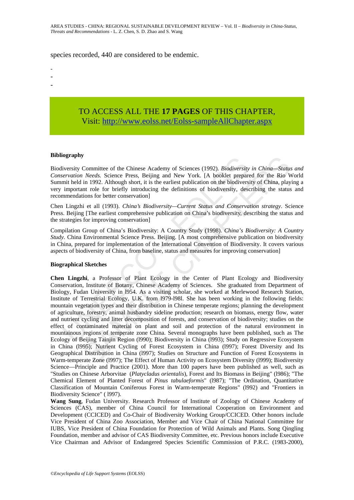#### species recorded, 440 are considered to be endemic.

- -
- -

## TO ACCESS ALL THE **17 PAGES** OF THIS CHAPTER, Visit: [http://www.eolss.net/Eolss-sampleAllChapter.aspx](https://www.eolss.net/ebooklib/sc_cart.aspx?File=E1-54-16)

#### **Bibliography**

Biodiversity Committee of the Chinese Academy of Sciences (1992). *Biodiversity in China—Status and Conservation Needs.* Science Press, Beijing and New York. [A booklet prepared for the Rio World Summit held in 1992. Although short, it is the earliest publication on the biodiversity of China, playing a very important role for briefly introducing the definitions of biodiversity, describing the status and recommendations for better conservation]

Chen Lingzhi et all (1993). *China's Biodiversity—Current Status and Conservation strategy*. Science Press. Beijing [The earliest comprehensive publication on China's biodiversity, describing the status and the strategies for improving conservation]

Compilation Group of China's Biodiversity: A Country Study (1998). *China's Biodiversity: A Country Study.* China Environmental Science Press. Beijing. [A most comprehensive publication on biodiversity in China, prepared for implementation of the International Convention of Biodiversity. It covers various aspects of biodiversity of China, from baseline, status and measures for improving conservation]

#### **Biographical Sketches**

Exercity Committee of the Chinese Academy of Sciences (1992). *Biodiversity*<br>
ivervation *Needs.* Science Press, Beijing and New York. [A booklet preparentiation *Needs.* Science Press, Beijing and New York. [A booklet pre SCOMETY COMENTIC CONDUCT SCONDIGNET CONDIGIVENT COMENDIBITY IN China-Status Needs. Science Press, Beijing and New York. [A booklet prepared for the Rio Win 1992. Although short, it is the earliest publication on the biodiv **Chen Lingzhi**, a Professor of Plant Ecology in the Center of Plant Ecology and Biodiversity Conservation, Institute of Botany, Chinese Academy of Sciences. She graduated from Department of Biology, Fudan University in l954. As a visiting scholar, she worked at Merlewood Research Station, Institute of Terrestrial Ecology, U.K. from l979-l98l. She has been working in the following fields: mountain vegetation types and their distribution in Chinese temperate regions; planning the development of agriculture, forestry, animal husbandry sideline production; research on biomass, energy flow, water and nutrient cycling and litter decomposition of forests, and conservation of biodiversity; studies on the effect of contaminated material on plant and soil and protection of the natural environment in mountainous regions of temperate zone China. Several monographs have been published, such as The Ecology of Beijing Tainjin Region (l990); Biodiversity in China (l993); Study on Regressive Ecosystem in China (l995); Nutrient Cycling of Forest Ecosystem in China (l997); Forest Diversity and Its Geographical Distribution in China (l997); Studies on Structure and Function of Forest Ecosystems in Warm-temperate Zone (l997); The Effect of Human Activity on Ecosystem Diversity (l999); Biodiversity Science—Principle and Practice (2001). More than 100 papers have been published as well, such as "Studies on Chinese Arborvitae (*Platycladus orientalis*), Forest and Its Biomass in Beijing" (l986); "The Chemical Element of Planted Forest of *Pinus tabulaeformis*" (l987); "The Ordination, Quantitative Classification of Mountain Coniferous Forest in Warm-temperate Regions" (l992) and "Frontiers in Biodiversity Science" ( l997).

**Wang Sung**, Fudan University. Research Professor of Institute of Zoology of Chinese Academy of Sciences (CAS), member of China Council for International Cooperation on Environment and Development (CCICED) and Co-Chair of Biodiversity Working Group/CCICED. Other honors include Vice President of China Zoo Association, Member and Vice Chair of China National Committee for IUBS, Vice President of China Foundation for Protection of Wild Animals and Plants. Song Qingling Foundation, member and advisor of CAS Biodiversity Committee, etc. Previous honors include Executive Vice Chairman and Advisor of Endangered Species Scientific Commission of P.R.C. (1983-2000),